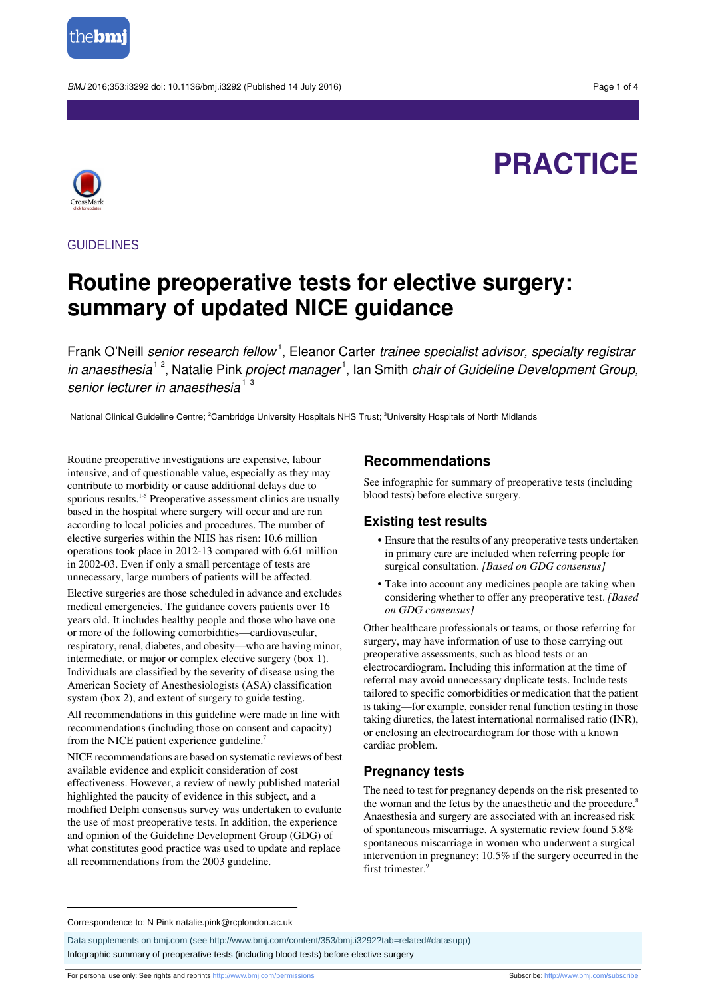

BMJ 2016;353:i3292 doi: 10.1136/bmj.i3292 (Published 14 July 2016) Page 1 of 4

# **PRACTICE**



GUIDELINES

## **Routine preoperative tests for elective surgery: summary of updated NICE guidance**

Frank O'Neill senior research fellow<sup>1</sup>, Eleanor Carter trainee specialist advisor, specialty registrar in anaesthesia<sup>12</sup>, Natalie Pink project manager<sup>1</sup>, Ian Smith chair of Guideline Development Group, senior lecturer in anaesthesia $13$ 

<sup>1</sup>National Clinical Guideline Centre; <sup>2</sup>Cambridge University Hospitals NHS Trust; <sup>3</sup>University Hospitals of North Midlands

Routine preoperative investigations are expensive, labour intensive, and of questionable value, especially as they may contribute to morbidity or cause additional delays due to spurious results.<sup>1-5</sup> Preoperative assessment clinics are usually based in the hospital where surgery will occur and are run according to local policies and procedures. The number of elective surgeries within the NHS has risen: 10.6 million operations took place in 2012-13 compared with 6.61 million in 2002-03. Even if only a small percentage of tests are unnecessary, large numbers of patients will be affected.

Elective surgeries are those scheduled in advance and excludes medical emergencies. The guidance covers patients over 16 years old. It includes healthy people and those who have one or more of the following comorbidities—cardiovascular, respiratory, renal, diabetes, and obesity—who are having minor, intermediate, or major or complex elective surgery (box 1). Individuals are classified by the severity of disease using the American Society of Anesthesiologists (ASA) classification system (box 2), and extent of surgery to guide testing.

All recommendations in this guideline were made in line with recommendations (including those on consent and capacity) from the NICE patient experience guideline.<sup>7</sup>

NICE recommendations are based on systematic reviews of best available evidence and explicit consideration of cost effectiveness. However, a review of newly published material highlighted the paucity of evidence in this subject, and a modified Delphi consensus survey was undertaken to evaluate the use of most preoperative tests. In addition, the experience and opinion of the Guideline Development Group (GDG) of what constitutes good practice was used to update and replace all recommendations from the 2003 guideline.

## **Recommendations**

See infographic for summary of preoperative tests (including blood tests) before elective surgery.

## **Existing test results**

- **•** Ensure that the results of any preoperative tests undertaken in primary care are included when referring people for surgical consultation. *[Based on GDG consensus]*
- **•** Take into account any medicines people are taking when considering whether to offer any preoperative test. *[Based on GDG consensus]*

Other healthcare professionals or teams, or those referring for surgery, may have information of use to those carrying out preoperative assessments, such as blood tests or an electrocardiogram. Including this information at the time of referral may avoid unnecessary duplicate tests. Include tests tailored to specific comorbidities or medication that the patient is taking—for example, consider renal function testing in those taking diuretics, the latest international normalised ratio (INR), or enclosing an electrocardiogram for those with a known cardiac problem.

## **Pregnancy tests**

The need to test for pregnancy depends on the risk presented to the woman and the fetus by the anaesthetic and the procedure.<sup>8</sup> Anaesthesia and surgery are associated with an increased risk of spontaneous miscarriage. A systematic review found 5.8% spontaneous miscarriage in women who underwent a surgical intervention in pregnancy; 10.5% if the surgery occurred in the first trimester.<sup>9</sup>

Correspondence to: N Pink natalie.pink@rcplondon.ac.uk

Data supplements on bmj.com (see <http://www.bmj.com/content/353/bmj.i3292?tab=related#datasupp>)

Infographic summary of preoperative tests (including blood tests) before elective surgery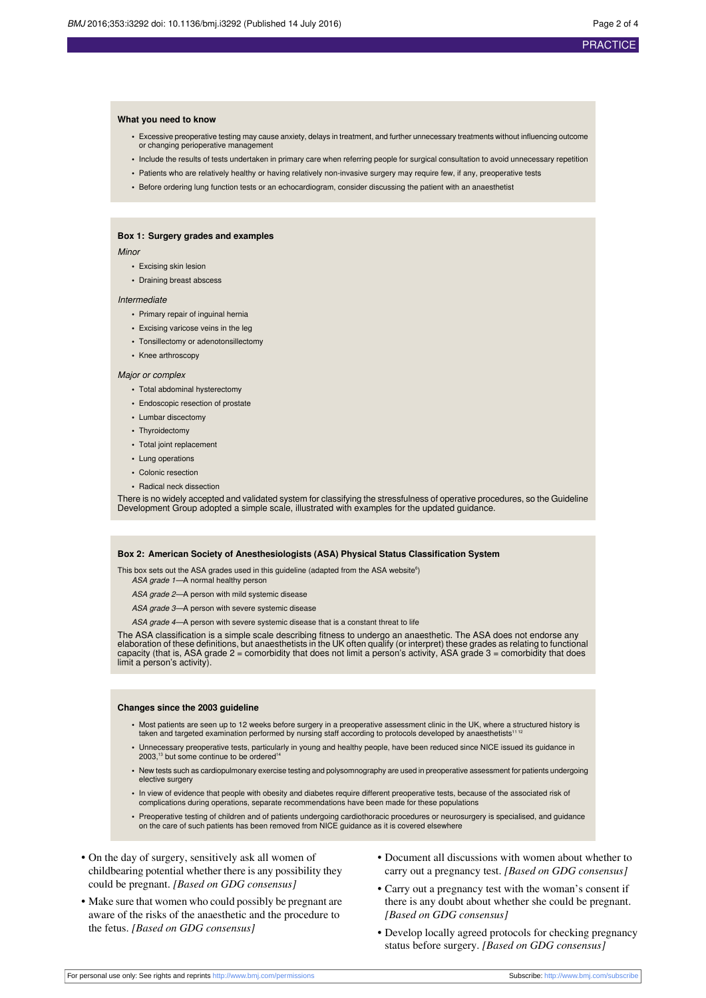## **PRACTICE**

### **What you need to know**

- **•** Excessive preoperative testing may cause anxiety, delays in treatment, and further unnecessary treatments without influencing outcome or changing perioperative management
- **•** Include the results of tests undertaken in primary care when referring people for surgical consultation to avoid unnecessary repetition
- **•** Patients who are relatively healthy or having relatively non-invasive surgery may require few, if any, preoperative tests
- **•** Before ordering lung function tests or an echocardiogram, consider discussing the patient with an anaesthetist

#### **Box 1: Surgery grades and examples**

**Minor** 

- **•** Excising skin lesion
- **•** Draining breast abscess

#### Intermediate

- **•** Primary repair of inguinal hernia
- **•** Excising varicose veins in the leg
- **•** Tonsillectomy or adenotonsillectomy
- **•** Knee arthroscopy

#### Major or complex

- **•** Total abdominal hysterectomy
- **•** Endoscopic resection of prostate
- **•** Lumbar discectomy
- **•** Thyroidectomy
- **•** Total joint replacement
- **•** Lung operations
- **•** Colonic resection
- **•** Radical neck dissection

There is no widely accepted and validated system for classifying the stressfulness of operative procedures, so the Guideline Development Group adopted a simple scale, illustrated with examples for the updated guidance.

#### **Box 2: American Society of Anesthesiologists (ASA) Physical Status Classification System**

This box sets out the ASA grades used in this guideline (adapted from the ASA website $^{\rm e}$ )

ASA grade 1—A normal healthy person

- ASA grade 2—A person with mild systemic disease
- ASA grade 3—A person with severe systemic disease
- ASA grade 4-A person with severe systemic disease that is a constant threat to life

The ASA classification is a simple scale describing fitness to undergo an anaesthetic. The ASA does not endorse any<br>elaboration of these definitions, but anaesthetists in the UK often qualify (or interpret) these grades as capacity (that is, ASA grade 2 = comorbidity that does not limit a person's activity, ASA grade 3 = comorbidity that does limit a person's activity).

#### **Changes since the 2003 guideline**

- **•** Most patients are seen up to 12 weeks before surgery in a preoperative assessment clinic in the UK, where a structured history is taken and targeted examination performed by nursing staff according to protocols developed by anaesthetists<sup>1</sup>
- **•** Unnecessary preoperative tests, particularly in young and healthy people, have been reduced since NICE issued its guidance in 2003,<sup>13</sup> but some continue to be ordered<sup>1</sup>
- **•** New tests such as cardiopulmonary exercise testing and polysomnography are used in preoperative assessment for patients undergoing elective surgery
- In view of evidence that people with obesity and diabetes require different preoperative tests, because of the associated risk of -<br>complications during operations, separate recommendations have been made for these populat
- Preoperative testing of children and of patients undergoing cardiothoracic procedures or neurosurgery is specialised, and guidance on the care of such patients has been removed from NICE guidance as it is covered elsewhere
- **•** On the day of surgery, sensitively ask all women of childbearing potential whether there is any possibility they could be pregnant. *[Based on GDG consensus]*
- **•** Make sure that women who could possibly be pregnant are aware of the risks of the anaesthetic and the procedure to the fetus. *[Based on GDG consensus]*
- **•** Document all discussions with women about whether to carry out a pregnancy test. *[Based on GDG consensus]*
- **•** Carry out a pregnancy test with the woman's consent if there is any doubt about whether she could be pregnant. *[Based on GDG consensus]*
- **•** Develop locally agreed protocols for checking pregnancy status before surgery. *[Based on GDG consensus]*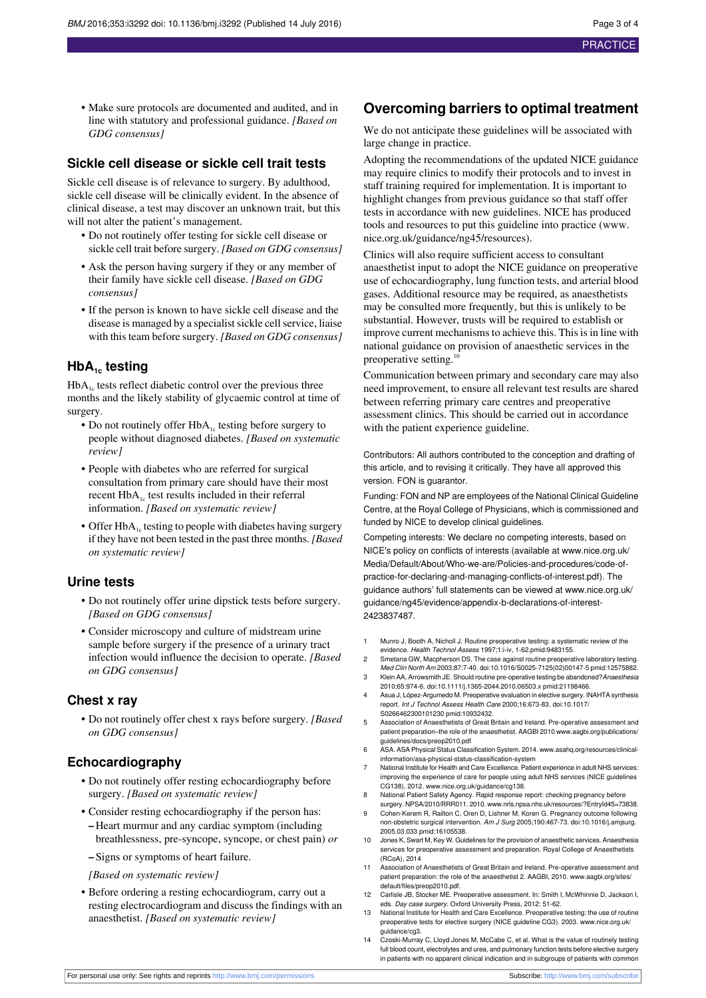**•** Make sure protocols are documented and audited, and in line with statutory and professional guidance. *[Based on GDG consensus]*

## **Sickle cell disease or sickle cell trait tests**

Sickle cell disease is of relevance to surgery. By adulthood, sickle cell disease will be clinically evident. In the absence of clinical disease, a test may discover an unknown trait, but this will not alter the patient's management.

- **•** Do not routinely offer testing for sickle cell disease or sickle cell trait before surgery.*[Based on GDG consensus]*
- **•** Ask the person having surgery if they or any member of their family have sickle cell disease. *[Based on GDG consensus]*
- **•** If the person is known to have sickle cell disease and the disease is managed by a specialist sickle cell service, liaise with this team before surgery. *[Based on GDG consensus]*

## **HbA1c testing**

 $HbA<sub>1c</sub>$  tests reflect diabetic control over the previous three months and the likely stability of glycaemic control at time of surgery.

- Do not routinely offer HbA<sub>1c</sub> testing before surgery to people without diagnosed diabetes. *[Based on systematic review]*
- **•** People with diabetes who are referred for surgical consultation from primary care should have their most recent  $HbA<sub>1c</sub>$  test results included in their referral information. *[Based on systematic review]*
- Offer HbA<sub>1c</sub> testing to people with diabetes having surgery if they have not been tested in the past three months.*[Based on systematic review]*

## **Urine tests**

- **•** Do not routinely offer urine dipstick tests before surgery. *[Based on GDG consensus]*
- **•** Consider microscopy and culture of midstream urine sample before surgery if the presence of a urinary tract infection would influence the decision to operate. *[Based on GDG consensus]*

## **Chest x ray**

**•** Do not routinely offer chest x rays before surgery. *[Based on GDG consensus]*

## **Echocardiography**

- **•** Do not routinely offer resting echocardiography before surgery. *[Based on systematic review]*
- **•** Consider resting echocardiography if the person has: **–** Heart murmur and any cardiac symptom (including breathlessness, pre-syncope, syncope, or chest pain) *or*
	- **–** Signs or symptoms of heart failure.

## *[Based on systematic review]*

**•** Before ordering a resting echocardiogram, carry out a resting electrocardiogram and discuss the findings with an anaesthetist. *[Based on systematic review]*

## **Overcoming barriers to optimal treatment**

We do not anticipate these guidelines will be associated with large change in practice.

Adopting the recommendations of the updated NICE guidance may require clinics to modify their protocols and to invest in staff training required for implementation. It is important to highlight changes from previous guidance so that staff offer tests in accordance with new guidelines. NICE has produced tools and resources to put this guideline into practice [\(www.](http://www.nice.org.uk/guidance/ng45/resources) [nice.org.uk/guidance/ng45/resources\)](http://www.nice.org.uk/guidance/ng45/resources).

Clinics will also require sufficient access to consultant anaesthetist input to adopt the NICE guidance on preoperative use of echocardiography, lung function tests, and arterial blood gases. Additional resource may be required, as anaesthetists may be consulted more frequently, but this is unlikely to be substantial. However, trusts will be required to establish or improve current mechanisms to achieve this. This is in line with national guidance on provision of anaesthetic services in the preoperative setting.<sup>10</sup>

Communication between primary and secondary care may also need improvement, to ensure all relevant test results are shared between referring primary care centres and preoperative assessment clinics. This should be carried out in accordance with the patient experience guideline.

Contributors: All authors contributed to the conception and drafting of this article, and to revising it critically. They have all approved this version. FON is guarantor.

Funding: FON and NP are employees of the National Clinical Guideline Centre, at the Royal College of Physicians, which is commissioned and funded by NICE to develop clinical guidelines.

Competing interests: We declare no competing interests, based on NICE's policy on conflicts of interests (available at [www.nice.org.uk/](http://www.nice.org.uk/Media/Default/About/Who-we-are/Policies-and-procedures/code-of-practice-for-declaring-and-managing-conflicts-of-interest.pdf) [Media/Default/About/Who-we-are/Policies-and-procedures/code-of](http://www.nice.org.uk/Media/Default/About/Who-we-are/Policies-and-procedures/code-of-practice-for-declaring-and-managing-conflicts-of-interest.pdf)[practice-for-declaring-and-managing-conflicts-of-interest.pdf\)](http://www.nice.org.uk/Media/Default/About/Who-we-are/Policies-and-procedures/code-of-practice-for-declaring-and-managing-conflicts-of-interest.pdf). The guidance authors' full statements can be viewed at [www.nice.org.uk/](http://www.nice.org.uk/guidance/ng45/evidence/appendix-b-declarations-of-interest-2423837487) [guidance/ng45/evidence/appendix-b-declarations-of-interest-](http://www.nice.org.uk/guidance/ng45/evidence/appendix-b-declarations-of-interest-2423837487)[2423837487](http://www.nice.org.uk/guidance/ng45/evidence/appendix-b-declarations-of-interest-2423837487).

- 1 Munro J, Booth A, Nicholl J. Routine preoperative testing: a systematic review of the evidence. Health Technol Assess 1997:1:i-iv, 1-62[.pmid:9483155](http://www.ncbi.nlm.nih.gov/pubmed/?term=9483155).
- 2 Smetana GW, Macpherson DS. The case against routine preoperative laboratory testing. Med Clin North Am 2003;87:7-40. [doi:10.1016/S0025-7125\(02\)00147-5](http://dx.doi.org/10.1016/S0025-7125(02)00147-5) [pmid:12575882](http://www.ncbi.nlm.nih.gov/pubmed/?term=12575882).
- 3 Klein AA, Arrowsmith JE. Should routine pre-operative testing be abandoned?Anaesthesia 2010;65:974-6. [doi:10.1111/j.1365-2044.2010.06503.x](http://dx.doi.org/10.1111/j.1365-2044.2010.06503.x) [pmid:21198466.](http://www.ncbi.nlm.nih.gov/pubmed/?term=21198466) 4 Asua J, López-Argumedo M. Preoperative evaluation in elective surgery. INAHTA synthesis
- report. Int J Technol Assess Health Care 2000;16:673-83. [doi:10.1017/](http://dx.doi.org/10.1017/S0266462300101230) [S0266462300101230](http://dx.doi.org/10.1017/S0266462300101230) [pmid:10932432.](http://www.ncbi.nlm.nih.gov/pubmed/?term=10932432)
- 5 Association of Anaesthetists of Great Britain and Ireland. Pre-operative assessment and patient preparation–the role of the anaesthetist. AAGBI 2010 [www.aagbi.org/publications/](http://www.aagbi.org/publications/guidelines/docs/preop2010.pdf)
- [guidelines/docs/preop2010.pdf](http://www.aagbi.org/publications/guidelines/docs/preop2010.pdf) 6 ASA. ASA Physical Status Classification System. 2014. [www.asahq.org/resources/clinical](http://www.asahq.org/resources/clinical-information/asa-physical-status-classification-system)[information/asa-physical-status-classification-system](http://www.asahq.org/resources/clinical-information/asa-physical-status-classification-system)
- 7 National Institute for Health and Care Excellence. Patient experience in adult NHS services: improving the experience of care for people using adult NHS services (NICE guidelines CG138), 2012. [www.nice.org.uk/guidance/cg138.](http://www.nice.org.uk/guidance/cg138)
- 8 National Patient Safety Agency. Rapid response report: checking pregnancy before surgery. NPSA/2010/RRR011. 2010. [www.nrls.npsa.nhs.uk/resources/?EntryId45=73838](http://www.nrls.npsa.nhs.uk/resources/?EntryId45=73838).
- 9 Cohen-Kerem R, Railton C, Oren D, Lishner M, Koren G. Pregnancy outcome following non-obstetric surgical intervention. Am J Surg 2005;190:467-73. [doi:10.1016/j.amjsurg.](http://dx.doi.org/10.1016/j.amjsurg.2005.03.033) [2005.03.033](http://dx.doi.org/10.1016/j.amjsurg.2005.03.033) [pmid:16105538](http://www.ncbi.nlm.nih.gov/pubmed/?term=16105538).
- 10 Jones K, Swart M, Key W. Guidelines for the provision of anaesthetic services. Anaesthesia services for preoperative assessment and preparation. Royal College of Anaesthetists (RCoA), 2014
- 11 Association of Anaesthetists of Great Britain and Ireland. Pre-operative assessment and patient preparation: the role of the anaesthetist 2. AAGBI, 2010. www.aagbi.org/sites [default/files/preop2010.pdf](http://www.aagbi.org/sites/default/files/preop2010.pdf).
- 12 Carlisle JB, Stocker ME. Preoperative assessment. In: Smith I, McWhinnie D, Jackson I, eds. Day case surgery. Oxford University Press, 2012: 51-62.
- 13 National Institute for Health and Care Excellence. Preoperative testing: the use of routine preoperative tests for elective surgery (NICE guideline CG3). 2003. [www.nice.org.uk/](http://www.nice.org.uk/guidance/cg3) [guidance/cg3](http://www.nice.org.uk/guidance/cg3).
- 14 Czoski-Murray C, Lloyd Jones M, McCabe C, et al. What is the value of routinely testing full blood count, electrolytes and urea, and pulmonary function tests before elective surgery in patients with no apparent clinical indication and in subgroups of patients with common